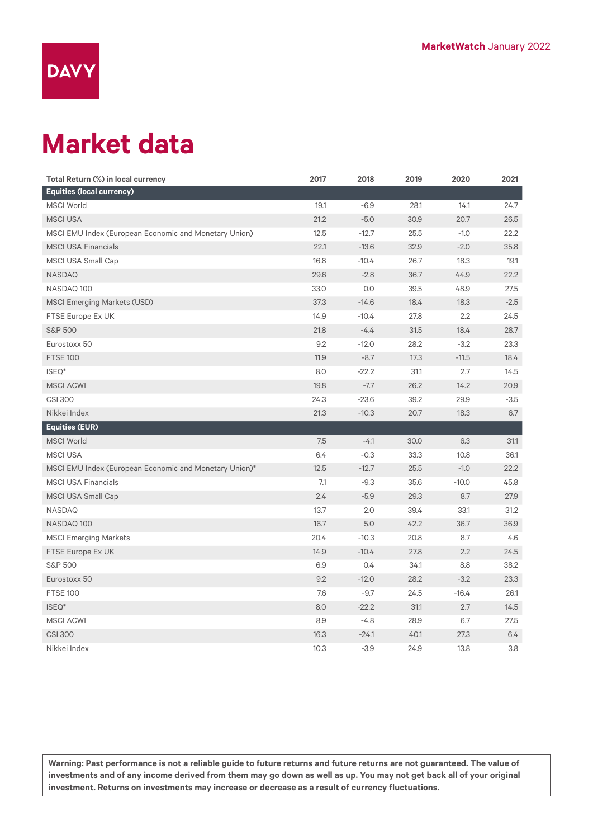

## **Market data**

| Total Return (%) in local currency                     | 2017 | 2018    | 2019 | 2020    | 2021   |
|--------------------------------------------------------|------|---------|------|---------|--------|
| <b>Equities (local currency)</b>                       |      |         |      |         |        |
| <b>MSCI World</b>                                      | 19.1 | $-6.9$  | 28.1 | 14.1    | 24.7   |
| <b>MSCI USA</b>                                        | 21.2 | $-5.0$  | 30.9 | 20.7    | 26.5   |
| MSCI EMU Index (European Economic and Monetary Union)  | 12.5 | $-12.7$ | 25.5 | $-1.0$  | 22.2   |
| <b>MSCI USA Financials</b>                             | 22.1 | $-13.6$ | 32.9 | $-2.0$  | 35.8   |
| <b>MSCI USA Small Cap</b>                              | 16.8 | $-10.4$ | 26.7 | 18.3    | 19.1   |
| NASDAQ                                                 | 29.6 | $-2.8$  | 36.7 | 44.9    | 22.2   |
| NASDAQ 100                                             | 33.0 | 0.0     | 39.5 | 48.9    | 27.5   |
| <b>MSCI Emerging Markets (USD)</b>                     | 37.3 | $-14.6$ | 18.4 | 18.3    | $-2.5$ |
| FTSE Europe Ex UK                                      | 14.9 | $-10.4$ | 27.8 | 2.2     | 24.5   |
| <b>S&amp;P 500</b>                                     | 21.8 | $-4.4$  | 31.5 | 18.4    | 28.7   |
| Eurostoxx 50                                           | 9.2  | $-12.0$ | 28.2 | $-3.2$  | 23.3   |
| <b>FTSE 100</b>                                        | 11.9 | $-8.7$  | 17.3 | $-11.5$ | 18.4   |
| ISEQ*                                                  | 8.0  | $-22.2$ | 31.1 | 2.7     | 14.5   |
| <b>MSCI ACWI</b>                                       | 19.8 | $-7.7$  | 26.2 | 14.2    | 20.9   |
| <b>CSI 300</b>                                         | 24.3 | $-23.6$ | 39.2 | 29.9    | $-3.5$ |
| Nikkei Index                                           | 21.3 | $-10.3$ | 20.7 | 18.3    | 6.7    |
| <b>Equities (EUR)</b>                                  |      |         |      |         |        |
| <b>MSCI World</b>                                      | 7.5  | $-4.1$  | 30.0 | 6.3     | 31.1   |
| <b>MSCI USA</b>                                        | 6.4  | $-0.3$  | 33.3 | 10.8    | 36.1   |
| MSCI EMU Index (European Economic and Monetary Union)* | 12.5 | $-12.7$ | 25.5 | $-1.0$  | 22.2   |
| <b>MSCI USA Financials</b>                             | 7.1  | $-9.3$  | 35.6 | $-10.0$ | 45.8   |
| <b>MSCI USA Small Cap</b>                              | 2.4  | $-5.9$  | 29.3 | 8.7     | 27.9   |
| <b>NASDAQ</b>                                          | 13.7 | 2.0     | 39.4 | 33.1    | 31.2   |
| NASDAQ 100                                             | 16.7 | 5.0     | 42.2 | 36.7    | 36.9   |
| <b>MSCI Emerging Markets</b>                           | 20.4 | $-10.3$ | 20.8 | 8.7     | 4.6    |
| FTSE Europe Ex UK                                      | 14.9 | $-10.4$ | 27.8 | 2.2     | 24.5   |
| <b>S&amp;P 500</b>                                     | 6.9  | 0.4     | 34.1 | 8.8     | 38.2   |
| Eurostoxx 50                                           | 9.2  | $-12.0$ | 28.2 | $-3.2$  | 23.3   |
| <b>FTSE 100</b>                                        | 7.6  | $-9.7$  | 24.5 | $-16.4$ | 26.1   |
| ISEQ*                                                  | 8.0  | $-22.2$ | 31.1 | 2.7     | 14.5   |
| <b>MSCI ACWI</b>                                       | 8.9  | $-4.8$  | 28.9 | 6.7     | 27.5   |
| <b>CSI 300</b>                                         | 16.3 | $-24.1$ | 40.1 | 27.3    | 6.4    |
| Nikkei Index                                           | 10.3 | $-3.9$  | 24.9 | 13.8    | 3.8    |

**Warning: Past performance is not a reliable guide to future returns and future returns are not guaranteed. The value of investments and of any income derived from them may go down as well as up. You may not get back all of your original investment. Returns on investments may increase or decrease as a result of currency fluctuations.**